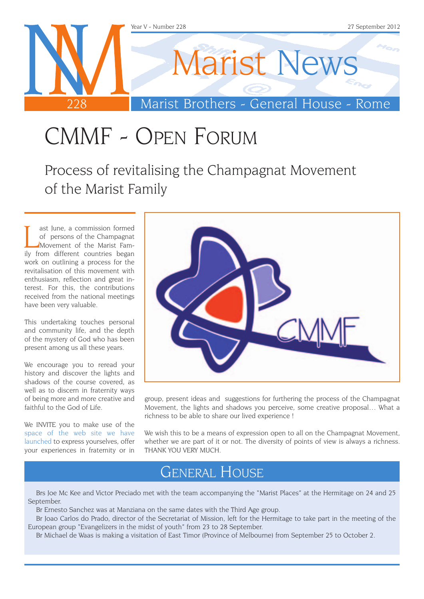

# CMMF - Open Forum

Process of revitalising the Champagnat Movement of the Marist Family

I ast June, a commission formed<br>of persons of the Champagnat<br>Movement of the Marist Fam-<br>ily from different countries began ast June, a commission formed of persons of the Champagnat Movement of the Marist Famwork on outlining a process for the revitalisation of this movement with enthusiasm, reflection and great interest. For this, the contributions received from the national meetings have been very valuable.

This undertaking touches personal and community life, and the depth of the mystery of God who has been present among us all these years.

We encourage you to reread your history and discover the lights and shadows of the course covered, as well as to discern in fraternity ways of being more and more creative and faithful to the God of Life.

We INVITE you to make use of the [space of the web site we have](http://www.champagnat.org/330.php?a=10)  [launched](http://www.champagnat.org/330.php?a=10) to express yourselves, offer your experiences in fraternity or in



group, present ideas and suggestions for furthering the process of the Champagnat Movement, the lights and shadows you perceive, some creative proposal… What a richness to be able to share our lived experience !

We wish this to be a means of expression open to all on the Champagnat Movement. whether we are part of it or not. The diversity of points of view is always a richness. THANK YOU VERY MUCH.

#### General House

Brs Joe Mc Kee and Victor Preciado met with the team accompanying the "Marist Places" at the Hermitage on 24 and 25 September.

Br Ernesto Sanchez was at Manziana on the same dates with the Third Age group.

Br Joao Carlos do Prado, director of the Secretariat of Mission, left for the Hermitage to take part in the meeting of the European group "Evangelizers in the midst of youth" from 23 to 28 September.

Br Michael de Waas is making a visitation of East Timor (Province of Melbourne) from September 25 to October 2.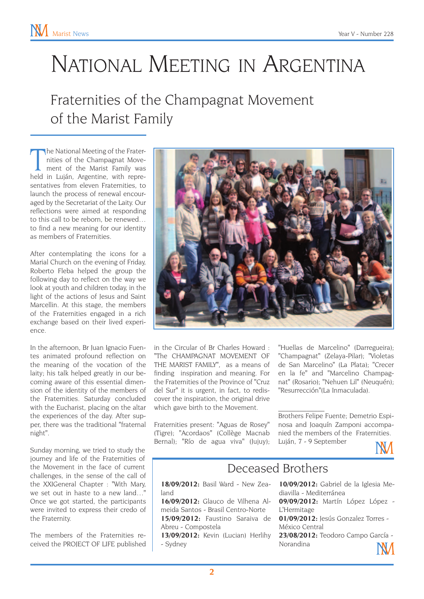# National Meeting in Argentina

## Fraternities of the Champagnat Movement of the Marist Family

The National Meeting of the Frater-<br>
nities of the Champagnat Move-<br>
ment of the Marist Family was<br>
held in Luján, Argentine, with reprehe National Meeting of the Fraternities of the Champagnat Movement of the Marist Family was sentatives from eleven Fraternities, to launch the process of renewal encouraged by the Secretariat of the Laity. Our reflections were aimed at responding to this call to be reborn, be renewed… to find a new meaning for our identity as members of Fraternities.

After contemplating the icons for a Marial Church on the evening of Friday, Roberto Fleba helped the group the following day to reflect on the way we look at youth and children today, in the light of the actions of Jesus and Saint Marcellin. At this stage, the members of the Fraternities engaged in a rich exchange based on their lived experience.

In the afternoon, Br Juan Ignacio Fuentes animated profound reflection on the meaning of the vocation of the laity; his talk helped greatly in our becoming aware of this essential dimension of the identity of the members of the Fraternities. Saturday concluded with the Eucharist, placing on the altar the experiences of the day. After supper, there was the traditional "fraternal night".

Sunday morning, we tried to study the journey and life of the Fraternities of the Movement in the face of current challenges, in the sense of the call of the XXIGeneral Chapter : "With Mary, we set out in haste to a new land…" Once we got started, the participants were invited to express their credo of the Fraternity.

The members of the Fraternities received the PROJECT OF LIFE published



in the Circular of Br Charles Howard : "The CHAMPAGNAT MOVEMENT OF THE MARIST FAMILY", as a means of finding inspiration and meaning. For the Fraternities of the Province of "Cruz del Sur" it is urgent, in fact, to rediscover the inspiration, the original drive which gave birth to the Movement.

Fraternities present: "Aguas de Rosey" (Tigre); "Acordaos" (Collège Macnab Bernal); "Río de agua viva" (Jujuy);

"Huellas de Marcelino" (Darregueira); "Champagnat" (Zelaya-Pilar); "Violetas de San Marcelino" (La Plata); "Crecer en la fe" and "Marcelino Champagnat" (Rosario); "Nehuen Lil" (Neuquén); "Resurrección"(La Inmaculada).

Brothers Felipe Fuente; Demetrio Espinosa and Joaquín Zamponi accompanied the members of the Fraternities. Luján, 7 - 9 September



#### Deceased Brothers

 $\mathcal{L}_\text{max}$ 

**18/09/2012:** Basil Ward - New Zealand

**16/09/2012:** Glauco de Vilhena Almeida Santos - Brasil Centro-Norte **15/09/2012:** Faustino Saraiva de Abreu - Compostela

**13/09/2012:** Kevin (Lucian) Herlihy - Sydney

**10/09/2012:** Gabriel de la Iglesia Mediavilla - Mediterránea

**09/09/2012:** Martín López López - L'Hermitage

**01/09/2012:** Jesús Gonzalez Torres - México Central

**23/08/2012:** Teodoro Campo García - Norandina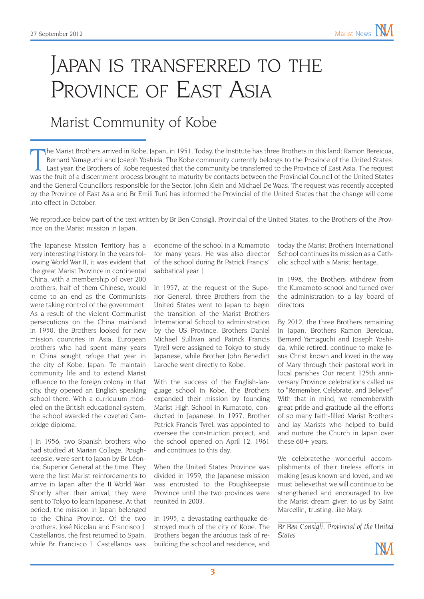## JAPAN IS TRANSFERRED TO THE PROVINCE OF EAST ASIA

### Marist Community of Kobe

The Marist Brothers arrived in Kobe, Japan, in 1951. Today, the Institute has three Brothers in this land: Ramon Bereicua, Bernard Yamaguchi and Joseph Yoshida. The Kobe community currently belongs to the Province of the U he Marist Brothers arrived in Kobe, Japan, in 1951. Today, the Institute has three Brothers in this land: Ramon Bereicua, Bernard Yamaguchi and Joseph Yoshida. The Kobe community currently belongs to the Province of the United States. Last year, the Brothers of Kobe requested that the community be transferred to the Province of East Asia. The request and the General Councillors responsible for the Sector, John Klein and Michael De Waas. The request was recently accepted by the Province of East Asia and Br Emili Turú has informed the Provincial of the United States that the change will come into effect in October.

We reproduce below part of the text written by Br Ben Consigli, Provincial of the United States, to the Brothers of the Province on the Marist mission in Japan.

The Japanese Mission Territory has a very interesting history. In the years following World War II, it was evident that the great Marist Province in continental China, with a membership of over 200 brothers, half of them Chinese, would come to an end as the Communists were taking control of the government. As a result of the violent Communist persecutions on the China mainland in 1950, the Brothers looked for new mission countries in Asia. European brothers who had spent many years in China sought refuge that year in the city of Kobe, Japan. To maintain community life and to extend Marist influence to the foreign colony in that city, they opened an English speaking school there. With a curriculum modeled on the British educational system, the school awarded the coveted Cambridge diploma.

[ In 1956, two Spanish brothers who had studied at Marian College, Poughkeepsie, were sent to Japan by Br Léonida, Superior General at the time. They were the first Marist reinforcements to arrive in Japan after the II World War. Shortly after their arrival, they were sent to Tokyo to learn Japanese. At that period, the mission in Japan belonged to the China Province. Of the two brothers, José Nicolau and Francisco J. Castellanos, the first returned to Spain, while Br Francisco J. Castellanos was

econome of the school in a Kumamoto for many years. He was also director of the school during Br Patrick Francis' sabbatical year. ]

In 1957, at the request of the Superior General, three Brothers from the United States went to Japan to begin the transition of the Marist Brothers International School to administration by the US Province. Brothers Daniel Michael Sullivan and Patrick Francis Tyrell were assigned to Tokyo to study Japanese, while Brother John Benedict Laroche went directly to Kobe.

With the success of the English-language school in Kobe, the Brothers expanded their mission by founding Marist High School in Kumatoto, conducted in Japanese. In 1957, Brother Patrick Francis Tyrell was appointed to oversee the construction project, and the school opened on April 12, 1961 and continues to this day.

When the United States Province was divided in 1959, the Japanese mission was entrusted to the Poughkeepsie Province until the two provinces were reunited in 2003.

In 1995, a devastating earthquake destroyed much of the city of Kobe. The Brothers began the arduous task of rebuilding the school and residence, and

today the Marist Brothers International School continues its mission as a Catholic school with a Marist heritage.

In 1998, the Brothers withdrew from the Kumamoto school and turned over the administration to a lay board of directors.

By 2012, the three Brothers remaining in Japan, Brothers Ramon Bereicua, Bernard Yamaguchi and Joseph Yoshida, while retired, continue to make Jesus Christ known and loved in the way of Mary through their pastoral work in local parishes Our recent 125th anniversary Province celebrations called us to "Remember, Celebrate, and Believe!" With that in mind, we rememberwith great pride and gratitude all the efforts of so many faith-filled Marist Brothers and lay Marists who helped to build and nurture the Church in Japan over these 60+ years.

We celebratethe wonderful accomplishments of their tireless efforts in making Jesus known and loved, and we must believethat we will continue to be strengthened and encouraged to live the Marist dream given to us by Saint Marcellin, trusting, like Mary.

 $\mathcal{L}_\text{max}$ *Br Ben Consigli, Provincial of the United States*